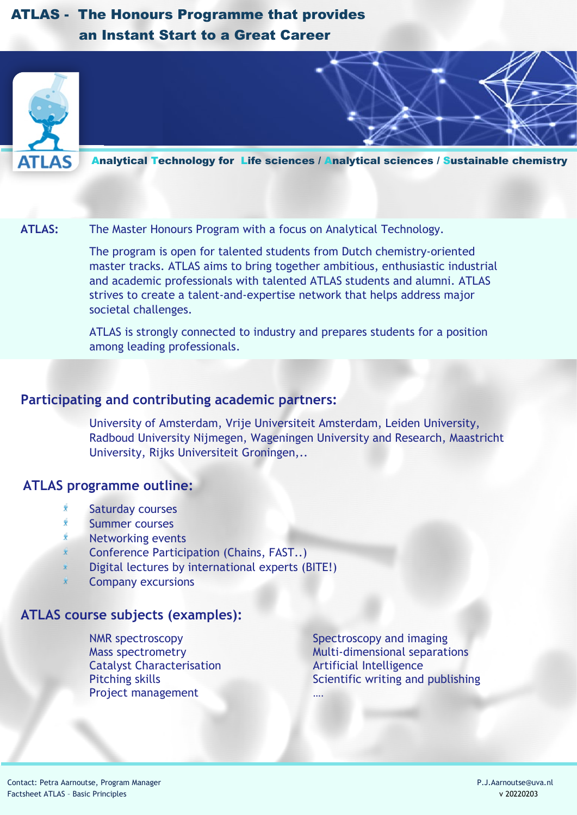# ATLAS - The Honours Programme that provides an Instant Start to a Great Career



Analytical Technology for Life sciences / Analytical sciences / Sustainable chemistry

#### **ATLAS:** The Master Honours Program with a focus on Analytical Technology.

The program is open for talented students from Dutch chemistry-oriented master tracks. ATLAS aims to bring together ambitious, enthusiastic industrial and academic professionals with talented ATLAS students and alumni. ATLAS strives to create a talent-and-expertise network that helps address major societal challenges.

ATLAS is strongly connected to industry and prepares students for a position among leading professionals.

#### **Participating and contributing academic partners:**

University of Amsterdam, Vrije Universiteit Amsterdam, Leiden University, Radboud University Nijmegen, Wageningen University and Research, Maastricht University, Rijks Universiteit Groningen,..

## **ATLAS programme outline:**

- $\tilde{\phi}$ Saturday courses
- Summer courses
- Networking events
- $\ddot{\mathbf{y}}$ Conference Participation (Chains, FAST..)
- Digital lectures by international experts (BITE!)
- Company excursions

### **ATLAS course subjects (examples):**

NMR spectroscopy Spectroscopy and imaging Catalyst Characterisation **Artificial Intelligence** Project management

Mass spectrometry Multi-dimensional separations Pitching skills **Scientific writing and publishing**